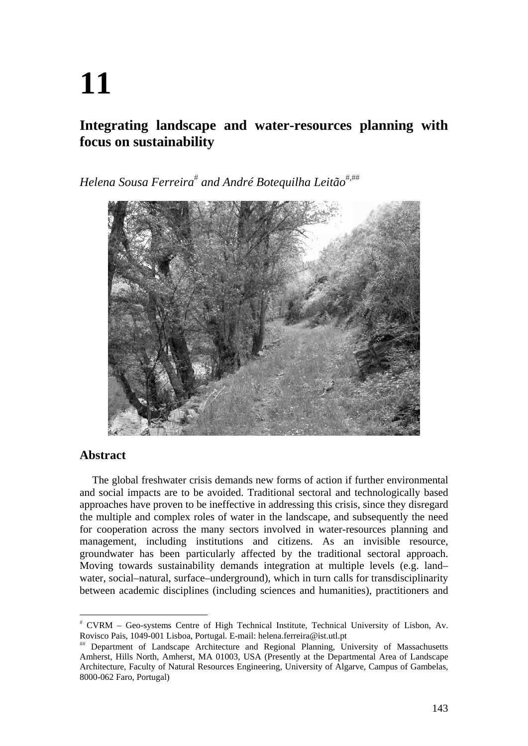# **11**

## **Integrating landscape and water-resources planning with focus on sustainability**

*Helena Sousa Ferreira and André Botequilha Leitão,*



## **Abstract**

The global freshwater crisis demands new forms of action if further environmental and social impacts are to be avoided. Traditional sectoral and technologically based approaches have proven to be ineffective in addressing this crisis, since they disregard the multiple and complex roles of water in the landscape, and subsequently the need for cooperation across the many sectors involved in water-resources planning and management, including institutions and citizens. As an invisible resource, groundwater has been particularly affected by the traditional sectoral approach. Moving towards sustainability demands integration at multiple levels (e.g. land– water, social–natural, surface–underground), which in turn calls for transdisciplinarity between academic disciplines (including sciences and humanities), practitioners and

 CVRM – Geo-systems Centre of High Technical Institute, Technical University of Lisbon, Av. Rovisco Pais, 1049-001 Lisboa, Portugal. E-mail: helena.ferreira@ist.utl.pt

Department of Landscape Architecture and Regional Planning, University of Massachusetts Amherst, Hills North, Amherst, MA 01003, USA (Presently at the Departmental Area of Landscape Architecture, Faculty of Natural Resources Engineering, University of Algarve, Campus of Gambelas, 8000-062 Faro, Portugal)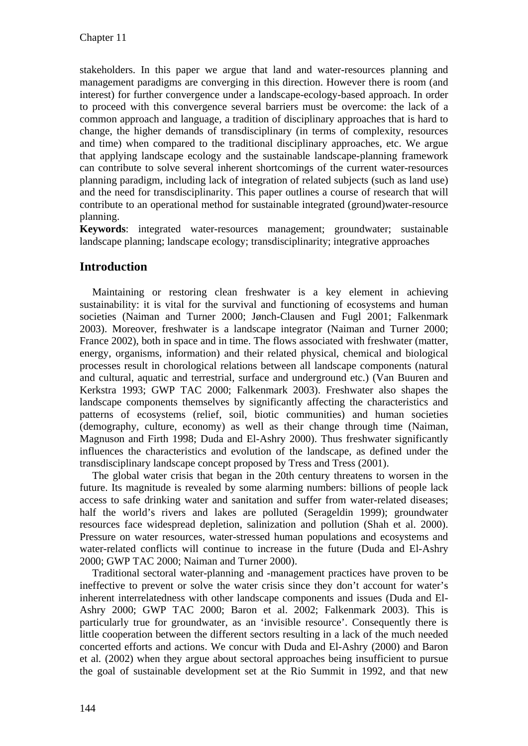stakeholders. In this paper we argue that land and water-resources planning and management paradigms are converging in this direction. However there is room (and interest) for further convergence under a landscape-ecology-based approach. In order to proceed with this convergence several barriers must be overcome: the lack of a common approach and language, a tradition of disciplinary approaches that is hard to change, the higher demands of transdisciplinary (in terms of complexity, resources and time) when compared to the traditional disciplinary approaches, etc. We argue that applying landscape ecology and the sustainable landscape-planning framework can contribute to solve several inherent shortcomings of the current water-resources planning paradigm, including lack of integration of related subjects (such as land use) and the need for transdisciplinarity. This paper outlines a course of research that will contribute to an operational method for sustainable integrated (ground)water-resource planning.

**Keywords**: integrated water-resources management; groundwater; sustainable landscape planning; landscape ecology; transdisciplinarity; integrative approaches

## **Introduction**

Maintaining or restoring clean freshwater is a key element in achieving sustainability: it is vital for the survival and functioning of ecosystems and human societies (Naiman and Turner 2000; Jønch-Clausen and Fugl 2001; Falkenmark 2003). Moreover, freshwater is a landscape integrator (Naiman and Turner 2000; France 2002), both in space and in time. The flows associated with freshwater (matter, energy, organisms, information) and their related physical, chemical and biological processes result in chorological relations between all landscape components (natural and cultural, aquatic and terrestrial, surface and underground etc.) (Van Buuren and Kerkstra 1993; GWP TAC 2000; Falkenmark 2003). Freshwater also shapes the landscape components themselves by significantly affecting the characteristics and patterns of ecosystems (relief, soil, biotic communities) and human societies (demography, culture, economy) as well as their change through time (Naiman, Magnuson and Firth 1998; Duda and El-Ashry 2000). Thus freshwater significantly influences the characteristics and evolution of the landscape, as defined under the transdisciplinary landscape concept proposed by Tress and Tress (2001).

The global water crisis that began in the 20th century threatens to worsen in the future. Its magnitude is revealed by some alarming numbers: billions of people lack access to safe drinking water and sanitation and suffer from water-related diseases; half the world's rivers and lakes are polluted (Serageldin 1999); groundwater resources face widespread depletion, salinization and pollution (Shah et al. 2000). Pressure on water resources, water-stressed human populations and ecosystems and water-related conflicts will continue to increase in the future (Duda and El-Ashry 2000; GWP TAC 2000; Naiman and Turner 2000).

Traditional sectoral water-planning and -management practices have proven to be ineffective to prevent or solve the water crisis since they don't account for water's inherent interrelatedness with other landscape components and issues (Duda and El-Ashry 2000; GWP TAC 2000; Baron et al. 2002; Falkenmark 2003). This is particularly true for groundwater, as an 'invisible resource'. Consequently there is little cooperation between the different sectors resulting in a lack of the much needed concerted efforts and actions. We concur with Duda and El-Ashry (2000) and Baron et al*.* (2002) when they argue about sectoral approaches being insufficient to pursue the goal of sustainable development set at the Rio Summit in 1992, and that new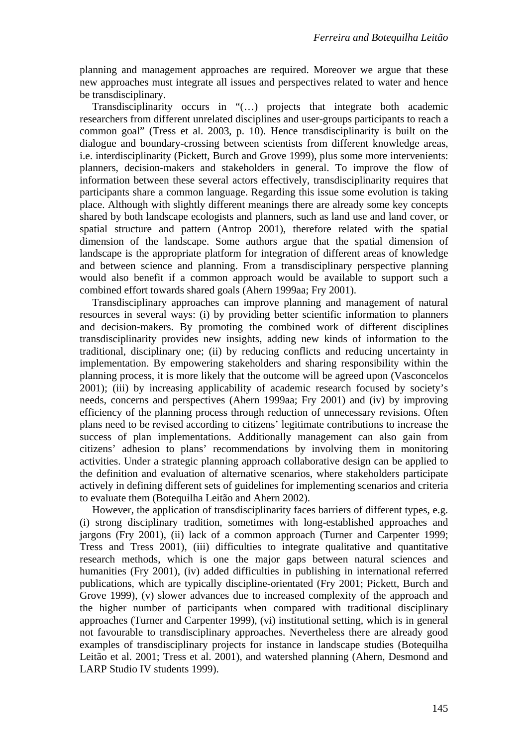planning and management approaches are required. Moreover we argue that these new approaches must integrate all issues and perspectives related to water and hence be transdisciplinary.

Transdisciplinarity occurs in "(…) projects that integrate both academic researchers from different unrelated disciplines and user-groups participants to reach a common goal" (Tress et al. 2003, p. 10). Hence transdisciplinarity is built on the dialogue and boundary-crossing between scientists from different knowledge areas, i.e. interdisciplinarity (Pickett, Burch and Grove 1999), plus some more intervenients: planners, decision-makers and stakeholders in general. To improve the flow of information between these several actors effectively, transdisciplinarity requires that participants share a common language. Regarding this issue some evolution is taking place. Although with slightly different meanings there are already some key concepts shared by both landscape ecologists and planners, such as land use and land cover, or spatial structure and pattern (Antrop 2001), therefore related with the spatial dimension of the landscape. Some authors argue that the spatial dimension of landscape is the appropriate platform for integration of different areas of knowledge and between science and planning. From a transdisciplinary perspective planning would also benefit if a common approach would be available to support such a combined effort towards shared goals (Ahern 1999aa; Fry 2001).

Transdisciplinary approaches can improve planning and management of natural resources in several ways: (i) by providing better scientific information to planners and decision-makers. By promoting the combined work of different disciplines transdisciplinarity provides new insights, adding new kinds of information to the traditional, disciplinary one; (ii) by reducing conflicts and reducing uncertainty in implementation. By empowering stakeholders and sharing responsibility within the planning process, it is more likely that the outcome will be agreed upon (Vasconcelos 2001); (iii) by increasing applicability of academic research focused by society's needs, concerns and perspectives (Ahern 1999aa; Fry 2001) and (iv) by improving efficiency of the planning process through reduction of unnecessary revisions. Often plans need to be revised according to citizens' legitimate contributions to increase the success of plan implementations. Additionally management can also gain from citizens' adhesion to plans' recommendations by involving them in monitoring activities. Under a strategic planning approach collaborative design can be applied to the definition and evaluation of alternative scenarios, where stakeholders participate actively in defining different sets of guidelines for implementing scenarios and criteria to evaluate them (Botequilha Leitão and Ahern 2002).

However, the application of transdisciplinarity faces barriers of different types, e.g. (i) strong disciplinary tradition, sometimes with long-established approaches and jargons (Fry 2001), (ii) lack of a common approach (Turner and Carpenter 1999; Tress and Tress 2001), (iii) difficulties to integrate qualitative and quantitative research methods, which is one the major gaps between natural sciences and humanities (Fry 2001), (iv) added difficulties in publishing in international referred publications, which are typically discipline-orientated (Fry 2001; Pickett, Burch and Grove 1999), (v) slower advances due to increased complexity of the approach and the higher number of participants when compared with traditional disciplinary approaches (Turner and Carpenter 1999), (vi) institutional setting, which is in general not favourable to transdisciplinary approaches. Nevertheless there are already good examples of transdisciplinary projects for instance in landscape studies (Botequilha Leitão et al. 2001; Tress et al. 2001), and watershed planning (Ahern, Desmond and LARP Studio IV students 1999).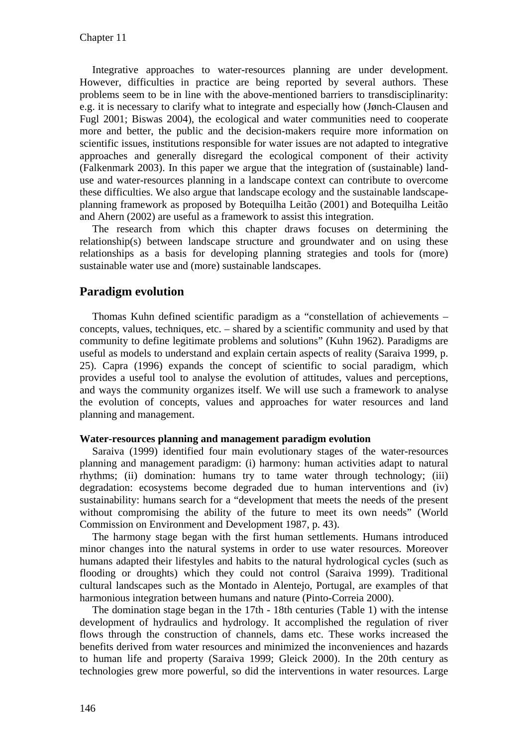Integrative approaches to water-resources planning are under development. However, difficulties in practice are being reported by several authors. These problems seem to be in line with the above-mentioned barriers to transdisciplinarity: e.g. it is necessary to clarify what to integrate and especially how (Jønch-Clausen and Fugl 2001; Biswas 2004), the ecological and water communities need to cooperate more and better, the public and the decision-makers require more information on scientific issues, institutions responsible for water issues are not adapted to integrative approaches and generally disregard the ecological component of their activity (Falkenmark 2003). In this paper we argue that the integration of (sustainable) landuse and water-resources planning in a landscape context can contribute to overcome these difficulties. We also argue that landscape ecology and the sustainable landscapeplanning framework as proposed by Botequilha Leitão (2001) and Botequilha Leitão and Ahern (2002) are useful as a framework to assist this integration.

The research from which this chapter draws focuses on determining the relationship(s) between landscape structure and groundwater and on using these relationships as a basis for developing planning strategies and tools for (more) sustainable water use and (more) sustainable landscapes.

## **Paradigm evolution**

Thomas Kuhn defined scientific paradigm as a "constellation of achievements – concepts, values, techniques, etc. – shared by a scientific community and used by that community to define legitimate problems and solutions" (Kuhn 1962). Paradigms are useful as models to understand and explain certain aspects of reality (Saraiva 1999, p. 25). Capra (1996) expands the concept of scientific to social paradigm, which provides a useful tool to analyse the evolution of attitudes, values and perceptions, and ways the community organizes itself. We will use such a framework to analyse the evolution of concepts, values and approaches for water resources and land planning and management.

#### **Water-resources planning and management paradigm evolution**

Saraiva (1999) identified four main evolutionary stages of the water-resources planning and management paradigm: (i) harmony: human activities adapt to natural rhythms; (ii) domination: humans try to tame water through technology; (iii) degradation: ecosystems become degraded due to human interventions and (iv) sustainability: humans search for a "development that meets the needs of the present without compromising the ability of the future to meet its own needs" (World Commission on Environment and Development 1987, p. 43).

The harmony stage began with the first human settlements. Humans introduced minor changes into the natural systems in order to use water resources. Moreover humans adapted their lifestyles and habits to the natural hydrological cycles (such as flooding or droughts) which they could not control (Saraiva 1999). Traditional cultural landscapes such as the Montado in Alentejo, Portugal, are examples of that harmonious integration between humans and nature (Pinto-Correia 2000).

The domination stage began in the 17th - 18th centuries (Table 1) with the intense development of hydraulics and hydrology. It accomplished the regulation of river flows through the construction of channels, dams etc. These works increased the benefits derived from water resources and minimized the inconveniences and hazards to human life and property (Saraiva 1999; Gleick 2000). In the 20th century as technologies grew more powerful, so did the interventions in water resources. Large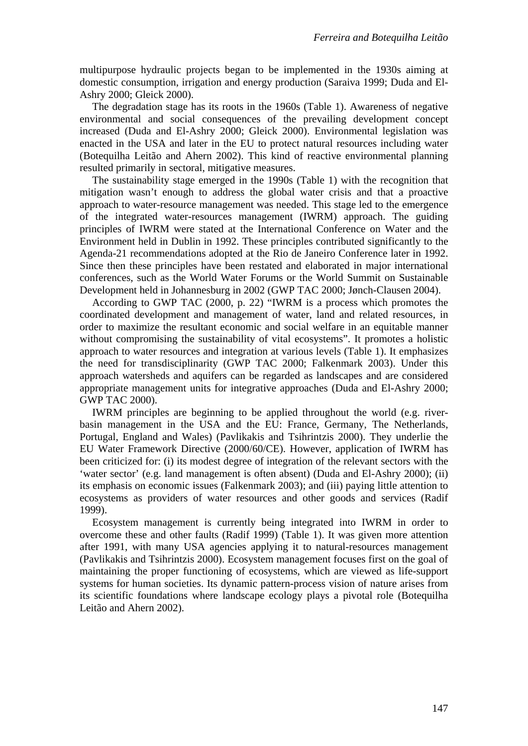multipurpose hydraulic projects began to be implemented in the 1930s aiming at domestic consumption, irrigation and energy production (Saraiva 1999; Duda and El-Ashry 2000; Gleick 2000).

The degradation stage has its roots in the 1960s (Table 1). Awareness of negative environmental and social consequences of the prevailing development concept increased (Duda and El-Ashry 2000; Gleick 2000). Environmental legislation was enacted in the USA and later in the EU to protect natural resources including water (Botequilha Leitão and Ahern 2002). This kind of reactive environmental planning resulted primarily in sectoral, mitigative measures.

The sustainability stage emerged in the 1990s (Table 1) with the recognition that mitigation wasn't enough to address the global water crisis and that a proactive approach to water-resource management was needed. This stage led to the emergence of the integrated water-resources management (IWRM) approach. The guiding principles of IWRM were stated at the International Conference on Water and the Environment held in Dublin in 1992. These principles contributed significantly to the Agenda-21 recommendations adopted at the Rio de Janeiro Conference later in 1992. Since then these principles have been restated and elaborated in major international conferences, such as the World Water Forums or the World Summit on Sustainable Development held in Johannesburg in 2002 (GWP TAC 2000; Jønch-Clausen 2004).

According to GWP TAC (2000, p. 22) "IWRM is a process which promotes the coordinated development and management of water, land and related resources, in order to maximize the resultant economic and social welfare in an equitable manner without compromising the sustainability of vital ecosystems". It promotes a holistic approach to water resources and integration at various levels (Table 1). It emphasizes the need for transdisciplinarity (GWP TAC 2000; Falkenmark 2003). Under this approach watersheds and aquifers can be regarded as landscapes and are considered appropriate management units for integrative approaches (Duda and El-Ashry 2000; GWP TAC 2000).

IWRM principles are beginning to be applied throughout the world (e.g. riverbasin management in the USA and the EU: France, Germany, The Netherlands, Portugal, England and Wales) (Pavlikakis and Tsihrintzis 2000). They underlie the EU Water Framework Directive (2000/60/CE). However, application of IWRM has been criticized for: (i) its modest degree of integration of the relevant sectors with the 'water sector' (e.g. land management is often absent) (Duda and El-Ashry 2000); (ii) its emphasis on economic issues (Falkenmark 2003); and (iii) paying little attention to ecosystems as providers of water resources and other goods and services (Radif 1999).

Ecosystem management is currently being integrated into IWRM in order to overcome these and other faults (Radif 1999) (Table 1). It was given more attention after 1991, with many USA agencies applying it to natural-resources management (Pavlikakis and Tsihrintzis 2000). Ecosystem management focuses first on the goal of maintaining the proper functioning of ecosystems, which are viewed as life-support systems for human societies. Its dynamic pattern-process vision of nature arises from its scientific foundations where landscape ecology plays a pivotal role (Botequilha Leitão and Ahern 2002).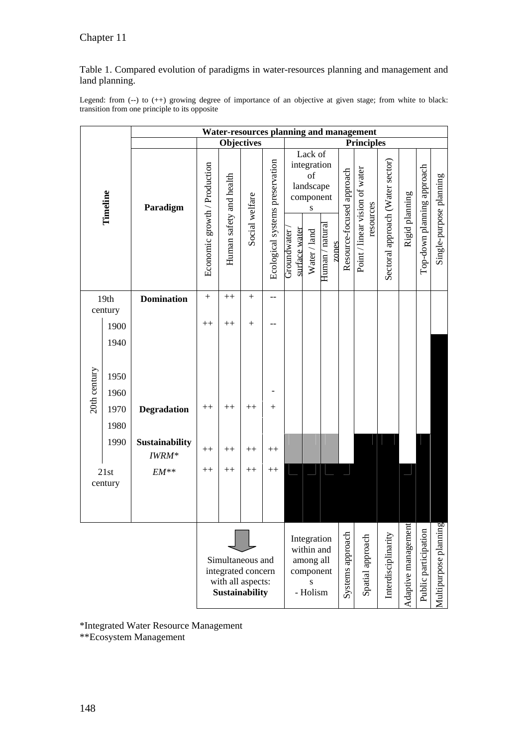Table 1. Compared evolution of paradigms in water-resources planning and management and land planning.

Legend: from (--) to (++) growing degree of importance of an objective at given stage; from white to black: transition from one principle to its opposite

|                 |      | <b>Water-resources planning and management</b>                                       |                              |                         |                |                                                                      |                                                                     |                   |                          |                           |                                             |                                  |                      |                            |                         |
|-----------------|------|--------------------------------------------------------------------------------------|------------------------------|-------------------------|----------------|----------------------------------------------------------------------|---------------------------------------------------------------------|-------------------|--------------------------|---------------------------|---------------------------------------------|----------------------------------|----------------------|----------------------------|-------------------------|
| Timeline        |      | <b>Objectives</b>                                                                    |                              |                         |                |                                                                      |                                                                     | <b>Principles</b> |                          |                           |                                             |                                  |                      |                            |                         |
|                 |      | Paradigm                                                                             | Economic growth / Production | Human safety and health | Social welfare | Ecological systems preservation                                      | Lack of<br>integration<br>of<br>landscape<br>component<br>${\bf S}$ |                   |                          | Resource-focused approach | Point / linear vision of water<br>resources | Sectoral approach (Water sector) | Rigid planning       | Top-down planning approach | Single-purpose planning |
|                 |      |                                                                                      |                              |                         |                |                                                                      | surface water<br>Groundwater                                        | Water / land      | Human / natural<br>zones |                           |                                             |                                  |                      |                            |                         |
| 19th<br>century |      | <b>Domination</b>                                                                    | $\boldsymbol{+}$             | $^{++}$                 | $+$            | $-$                                                                  |                                                                     |                   |                          |                           |                                             |                                  |                      |                            |                         |
|                 | 1900 |                                                                                      | $^{++}$                      | $^{++}$                 | $^{+}$         |                                                                      |                                                                     |                   |                          |                           |                                             |                                  |                      |                            |                         |
|                 | 1940 |                                                                                      |                              |                         |                |                                                                      |                                                                     |                   |                          |                           |                                             |                                  |                      |                            |                         |
|                 |      |                                                                                      |                              |                         |                |                                                                      |                                                                     |                   |                          |                           |                                             |                                  |                      |                            |                         |
| 20th century    | 1950 |                                                                                      |                              |                         |                |                                                                      |                                                                     |                   |                          |                           |                                             |                                  |                      |                            |                         |
|                 | 1960 |                                                                                      |                              |                         |                |                                                                      |                                                                     |                   |                          |                           |                                             |                                  |                      |                            |                         |
|                 | 1970 | <b>Degradation</b>                                                                   | $++$                         | $^{++}$                 | $^{++}$        | $^{+}$                                                               |                                                                     |                   |                          |                           |                                             |                                  |                      |                            |                         |
|                 | 1980 |                                                                                      |                              |                         |                |                                                                      |                                                                     |                   |                          |                           |                                             |                                  |                      |                            |                         |
|                 | 1990 | Sustainability<br>IWRM*                                                              | $++$                         | $^{++}$                 | $++$           | $^{++}$                                                              |                                                                     |                   |                          |                           |                                             |                                  |                      |                            |                         |
| $21st$          |      | $EM**$                                                                               | $++$                         | $++$                    | $^{++}$        | $++$                                                                 |                                                                     |                   |                          |                           |                                             |                                  |                      |                            |                         |
| century         |      |                                                                                      |                              |                         |                |                                                                      |                                                                     |                   |                          |                           |                                             |                                  |                      |                            |                         |
|                 |      |                                                                                      |                              |                         |                |                                                                      |                                                                     |                   |                          |                           |                                             |                                  |                      |                            |                         |
|                 |      | Simultaneous and<br>integrated concern<br>with all aspects:<br><b>Sustainability</b> |                              |                         |                | Integration<br>within and<br>among all<br>component<br>S<br>- Holism |                                                                     |                   | Systems approach         | Spatial approach          | Interdisciplinarity                         | Adaptive management              | Public participation | Multipurpose planning      |                         |

\*Integrated Water Resource Management

\*\*Ecosystem Management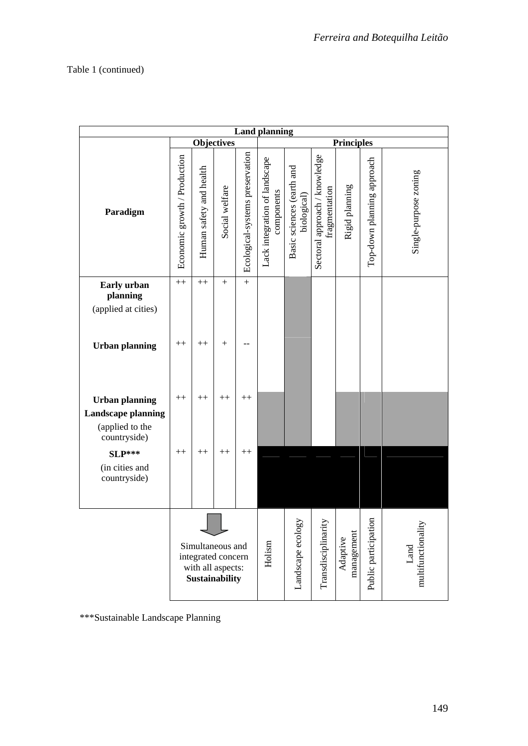| <b>Land planning</b>                                         |                                                                               |                         |                   |                                 |                                             |                                          |                                                |                      |                            |                       |  |  |
|--------------------------------------------------------------|-------------------------------------------------------------------------------|-------------------------|-------------------|---------------------------------|---------------------------------------------|------------------------------------------|------------------------------------------------|----------------------|----------------------------|-----------------------|--|--|
|                                                              |                                                                               |                         | <b>Objectives</b> |                                 | <b>Principles</b>                           |                                          |                                                |                      |                            |                       |  |  |
| Paradigm                                                     | Economic growth / Production                                                  | Human safety and health | Social welfare    | Ecological-systems preservation | Lack integration of landscape<br>components | Basic sciences (earth and<br>biological) | Sectoral approach / knowledge<br>fragmentation | Rigid planning       | Top-down planning approach | Single-purpose zoning |  |  |
| Early urban                                                  | $++$                                                                          | $++$                    | $+$               | $\qquad \qquad +$               |                                             |                                          |                                                |                      |                            |                       |  |  |
| planning<br>(applied at cities)                              |                                                                               |                         |                   |                                 |                                             |                                          |                                                |                      |                            |                       |  |  |
|                                                              |                                                                               |                         |                   |                                 |                                             |                                          |                                                |                      |                            |                       |  |  |
| <b>Urban planning</b>                                        | $++$                                                                          | $^{++}$                 | $+$               |                                 |                                             |                                          |                                                |                      |                            |                       |  |  |
| <b>Urban planning</b>                                        | $++$                                                                          | $^{++}$                 | $++$              | $^{++}$                         |                                             |                                          |                                                |                      |                            |                       |  |  |
| <b>Landscape planning</b><br>(applied to the<br>countryside) |                                                                               |                         |                   |                                 |                                             |                                          |                                                |                      |                            |                       |  |  |
| $SLP***$                                                     | $^{++}$                                                                       | $^{++}$                 | $++$              | $^{++}$                         |                                             |                                          |                                                |                      |                            |                       |  |  |
| (in cities and<br>countryside)                               |                                                                               |                         |                   |                                 |                                             |                                          |                                                |                      |                            |                       |  |  |
|                                                              | Simultaneous and<br>integrated concern<br>with all aspects:<br>Sustainability |                         |                   | Holism                          | Landscape ecology                           | Transdisciplinarity                      | management<br>Adaptive                         | Public participation | multifunctionality<br>Land |                       |  |  |

\*\*\*Sustainable Landscape Planning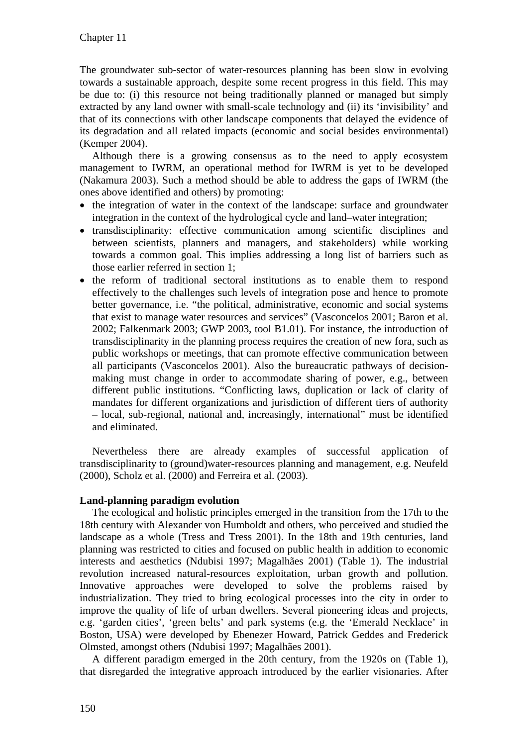The groundwater sub-sector of water-resources planning has been slow in evolving towards a sustainable approach, despite some recent progress in this field. This may be due to: (i) this resource not being traditionally planned or managed but simply extracted by any land owner with small-scale technology and (ii) its 'invisibility' and that of its connections with other landscape components that delayed the evidence of its degradation and all related impacts (economic and social besides environmental) (Kemper 2004).

Although there is a growing consensus as to the need to apply ecosystem management to IWRM, an operational method for IWRM is yet to be developed (Nakamura 2003). Such a method should be able to address the gaps of IWRM (the ones above identified and others) by promoting:

- $\bullet$  the integration of water in the context of the landscape: surface and groundwater integration in the context of the hydrological cycle and land–water integration;
- transdisciplinarity: effective communication among scientific disciplines and between scientists, planners and managers, and stakeholders) while working towards a common goal. This implies addressing a long list of barriers such as those earlier referred in section 1;
- the reform of traditional sectoral institutions as to enable them to respond effectively to the challenges such levels of integration pose and hence to promote better governance, i.e. "the political, administrative, economic and social systems that exist to manage water resources and services" (Vasconcelos 2001; Baron et al. 2002; Falkenmark 2003; GWP 2003, tool B1.01). For instance, the introduction of transdisciplinarity in the planning process requires the creation of new fora, such as public workshops or meetings, that can promote effective communication between all participants (Vasconcelos 2001). Also the bureaucratic pathways of decisionmaking must change in order to accommodate sharing of power, e.g., between different public institutions. "Conflicting laws, duplication or lack of clarity of mandates for different organizations and jurisdiction of different tiers of authority – local, sub-regional, national and, increasingly, international" must be identified and eliminated.

Nevertheless there are already examples of successful application of transdisciplinarity to (ground)water-resources planning and management, e.g. Neufeld (2000), Scholz et al. (2000) and Ferreira et al. (2003).

#### **Land-planning paradigm evolution**

The ecological and holistic principles emerged in the transition from the 17th to the 18th century with Alexander von Humboldt and others, who perceived and studied the landscape as a whole (Tress and Tress 2001). In the 18th and 19th centuries, land planning was restricted to cities and focused on public health in addition to economic interests and aesthetics (Ndubisi 1997; Magalhães 2001) (Table 1). The industrial revolution increased natural-resources exploitation, urban growth and pollution. Innovative approaches were developed to solve the problems raised by industrialization. They tried to bring ecological processes into the city in order to improve the quality of life of urban dwellers. Several pioneering ideas and projects, e.g. 'garden cities', 'green belts' and park systems (e.g. the 'Emerald Necklace' in Boston, USA) were developed by Ebenezer Howard, Patrick Geddes and Frederick Olmsted, amongst others (Ndubisi 1997; Magalhães 2001).

A different paradigm emerged in the 20th century, from the 1920s on (Table 1), that disregarded the integrative approach introduced by the earlier visionaries. After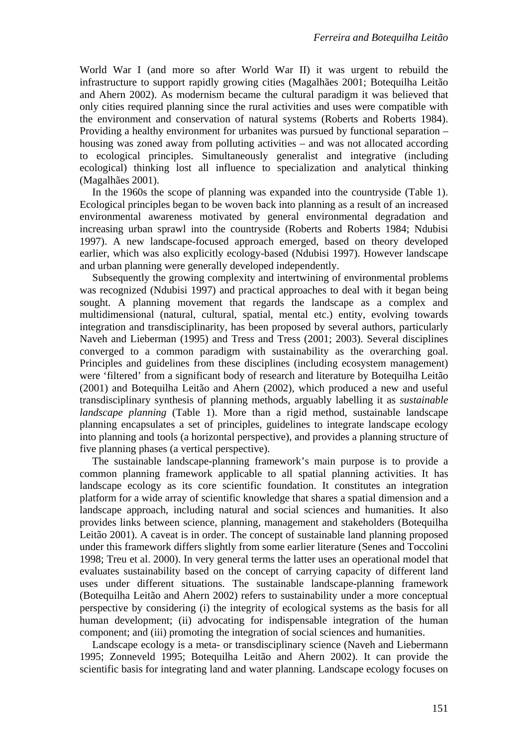World War I (and more so after World War II) it was urgent to rebuild the infrastructure to support rapidly growing cities (Magalhães 2001; Botequilha Leitão and Ahern 2002). As modernism became the cultural paradigm it was believed that only cities required planning since the rural activities and uses were compatible with the environment and conservation of natural systems (Roberts and Roberts 1984). Providing a healthy environment for urbanites was pursued by functional separation – housing was zoned away from polluting activities – and was not allocated according to ecological principles. Simultaneously generalist and integrative (including ecological) thinking lost all influence to specialization and analytical thinking (Magalhães 2001).

In the 1960s the scope of planning was expanded into the countryside (Table 1). Ecological principles began to be woven back into planning as a result of an increased environmental awareness motivated by general environmental degradation and increasing urban sprawl into the countryside (Roberts and Roberts 1984; Ndubisi 1997). A new landscape-focused approach emerged, based on theory developed earlier, which was also explicitly ecology-based (Ndubisi 1997). However landscape and urban planning were generally developed independently.

Subsequently the growing complexity and intertwining of environmental problems was recognized (Ndubisi 1997) and practical approaches to deal with it began being sought. A planning movement that regards the landscape as a complex and multidimensional (natural, cultural, spatial, mental etc.) entity, evolving towards integration and transdisciplinarity, has been proposed by several authors, particularly Naveh and Lieberman (1995) and Tress and Tress (2001; 2003). Several disciplines converged to a common paradigm with sustainability as the overarching goal. Principles and guidelines from these disciplines (including ecosystem management) were 'filtered' from a significant body of research and literature by Botequilha Leitão (2001) and Botequilha Leitão and Ahern (2002), which produced a new and useful transdisciplinary synthesis of planning methods, arguably labelling it as *sustainable landscape planning* (Table 1). More than a rigid method, sustainable landscape planning encapsulates a set of principles, guidelines to integrate landscape ecology into planning and tools (a horizontal perspective), and provides a planning structure of five planning phases (a vertical perspective).

The sustainable landscape-planning framework's main purpose is to provide a common planning framework applicable to all spatial planning activities. It has landscape ecology as its core scientific foundation. It constitutes an integration platform for a wide array of scientific knowledge that shares a spatial dimension and a landscape approach, including natural and social sciences and humanities. It also provides links between science, planning, management and stakeholders (Botequilha Leitão 2001). A caveat is in order. The concept of sustainable land planning proposed under this framework differs slightly from some earlier literature (Senes and Toccolini 1998; Treu et al. 2000). In very general terms the latter uses an operational model that evaluates sustainability based on the concept of carrying capacity of different land uses under different situations. The sustainable landscape-planning framework (Botequilha Leitão and Ahern 2002) refers to sustainability under a more conceptual perspective by considering (i) the integrity of ecological systems as the basis for all human development; (ii) advocating for indispensable integration of the human component; and (iii) promoting the integration of social sciences and humanities.

Landscape ecology is a meta- or transdisciplinary science (Naveh and Liebermann 1995; Zonneveld 1995; Botequilha Leitão and Ahern 2002). It can provide the scientific basis for integrating land and water planning. Landscape ecology focuses on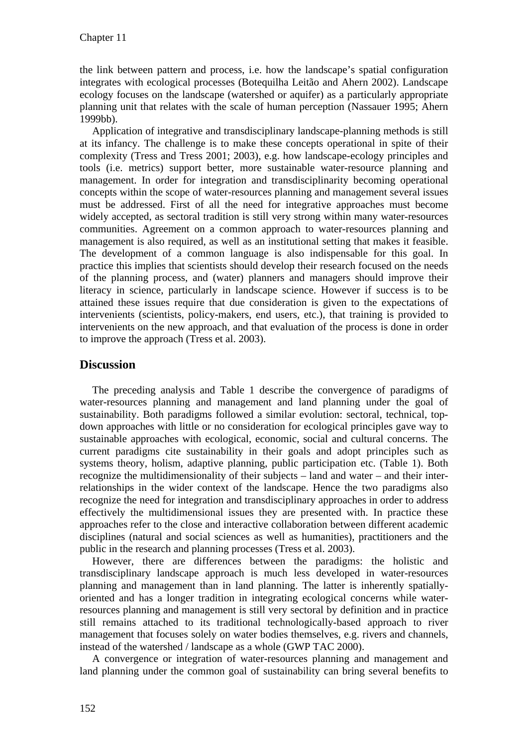the link between pattern and process, i.e. how the landscape's spatial configuration integrates with ecological processes (Botequilha Leitão and Ahern 2002). Landscape ecology focuses on the landscape (watershed or aquifer) as a particularly appropriate planning unit that relates with the scale of human perception (Nassauer 1995; Ahern 1999bb).

Application of integrative and transdisciplinary landscape-planning methods is still at its infancy. The challenge is to make these concepts operational in spite of their complexity (Tress and Tress 2001; 2003), e.g. how landscape-ecology principles and tools (i.e. metrics) support better, more sustainable water-resource planning and management. In order for integration and transdisciplinarity becoming operational concepts within the scope of water-resources planning and management several issues must be addressed. First of all the need for integrative approaches must become widely accepted, as sectoral tradition is still very strong within many water-resources communities. Agreement on a common approach to water-resources planning and management is also required, as well as an institutional setting that makes it feasible. The development of a common language is also indispensable for this goal. In practice this implies that scientists should develop their research focused on the needs of the planning process, and (water) planners and managers should improve their literacy in science, particularly in landscape science. However if success is to be attained these issues require that due consideration is given to the expectations of intervenients (scientists, policy-makers, end users, etc.), that training is provided to intervenients on the new approach, and that evaluation of the process is done in order to improve the approach (Tress et al. 2003).

## **Discussion**

The preceding analysis and Table 1 describe the convergence of paradigms of water-resources planning and management and land planning under the goal of sustainability. Both paradigms followed a similar evolution: sectoral, technical, topdown approaches with little or no consideration for ecological principles gave way to sustainable approaches with ecological, economic, social and cultural concerns. The current paradigms cite sustainability in their goals and adopt principles such as systems theory, holism, adaptive planning, public participation etc. (Table 1). Both recognize the multidimensionality of their subjects – land and water – and their interrelationships in the wider context of the landscape. Hence the two paradigms also recognize the need for integration and transdisciplinary approaches in order to address effectively the multidimensional issues they are presented with. In practice these approaches refer to the close and interactive collaboration between different academic disciplines (natural and social sciences as well as humanities), practitioners and the public in the research and planning processes (Tress et al. 2003).

However, there are differences between the paradigms: the holistic and transdisciplinary landscape approach is much less developed in water-resources planning and management than in land planning. The latter is inherently spatiallyoriented and has a longer tradition in integrating ecological concerns while waterresources planning and management is still very sectoral by definition and in practice still remains attached to its traditional technologically-based approach to river management that focuses solely on water bodies themselves, e.g. rivers and channels, instead of the watershed / landscape as a whole (GWP TAC 2000).

A convergence or integration of water-resources planning and management and land planning under the common goal of sustainability can bring several benefits to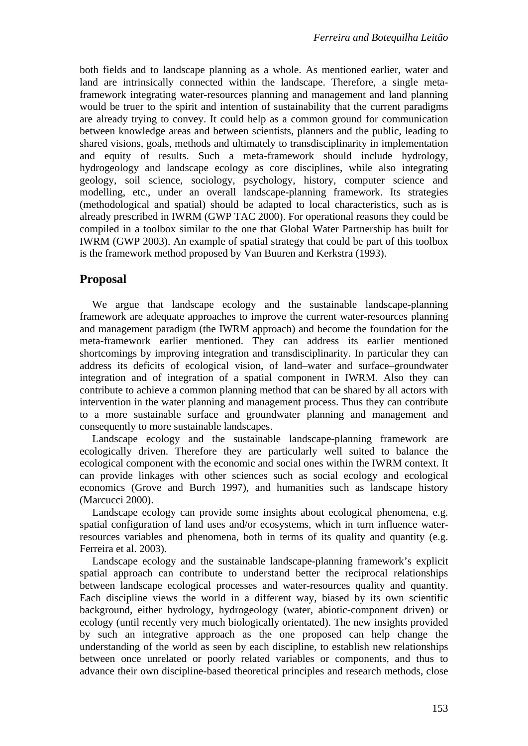both fields and to landscape planning as a whole. As mentioned earlier, water and land are intrinsically connected within the landscape. Therefore, a single metaframework integrating water-resources planning and management and land planning would be truer to the spirit and intention of sustainability that the current paradigms are already trying to convey. It could help as a common ground for communication between knowledge areas and between scientists, planners and the public, leading to shared visions, goals, methods and ultimately to transdisciplinarity in implementation and equity of results. Such a meta-framework should include hydrology, hydrogeology and landscape ecology as core disciplines, while also integrating geology, soil science, sociology, psychology, history, computer science and modelling, etc., under an overall landscape-planning framework. Its strategies (methodological and spatial) should be adapted to local characteristics, such as is already prescribed in IWRM (GWP TAC 2000). For operational reasons they could be compiled in a toolbox similar to the one that Global Water Partnership has built for IWRM (GWP 2003). An example of spatial strategy that could be part of this toolbox is the framework method proposed by Van Buuren and Kerkstra (1993).

## **Proposal**

We argue that landscape ecology and the sustainable landscape-planning framework are adequate approaches to improve the current water-resources planning and management paradigm (the IWRM approach) and become the foundation for the meta-framework earlier mentioned. They can address its earlier mentioned shortcomings by improving integration and transdisciplinarity. In particular they can address its deficits of ecological vision, of land–water and surface–groundwater integration and of integration of a spatial component in IWRM. Also they can contribute to achieve a common planning method that can be shared by all actors with intervention in the water planning and management process. Thus they can contribute to a more sustainable surface and groundwater planning and management and consequently to more sustainable landscapes.

Landscape ecology and the sustainable landscape-planning framework are ecologically driven. Therefore they are particularly well suited to balance the ecological component with the economic and social ones within the IWRM context. It can provide linkages with other sciences such as social ecology and ecological economics (Grove and Burch 1997), and humanities such as landscape history (Marcucci 2000).

Landscape ecology can provide some insights about ecological phenomena, e.g. spatial configuration of land uses and/or ecosystems, which in turn influence waterresources variables and phenomena, both in terms of its quality and quantity (e.g. Ferreira et al. 2003).

Landscape ecology and the sustainable landscape-planning framework's explicit spatial approach can contribute to understand better the reciprocal relationships between landscape ecological processes and water-resources quality and quantity. Each discipline views the world in a different way, biased by its own scientific background, either hydrology, hydrogeology (water, abiotic-component driven) or ecology (until recently very much biologically orientated). The new insights provided by such an integrative approach as the one proposed can help change the understanding of the world as seen by each discipline, to establish new relationships between once unrelated or poorly related variables or components, and thus to advance their own discipline-based theoretical principles and research methods, close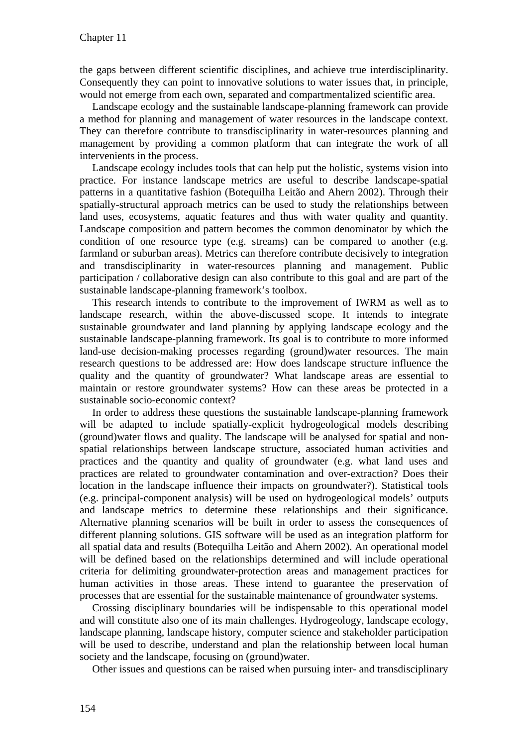the gaps between different scientific disciplines, and achieve true interdisciplinarity. Consequently they can point to innovative solutions to water issues that, in principle, would not emerge from each own, separated and compartmentalized scientific area.

Landscape ecology and the sustainable landscape-planning framework can provide a method for planning and management of water resources in the landscape context. They can therefore contribute to transdisciplinarity in water-resources planning and management by providing a common platform that can integrate the work of all intervenients in the process.

Landscape ecology includes tools that can help put the holistic, systems vision into practice. For instance landscape metrics are useful to describe landscape-spatial patterns in a quantitative fashion (Botequilha Leitão and Ahern 2002). Through their spatially-structural approach metrics can be used to study the relationships between land uses, ecosystems, aquatic features and thus with water quality and quantity. Landscape composition and pattern becomes the common denominator by which the condition of one resource type (e.g. streams) can be compared to another (e.g. farmland or suburban areas). Metrics can therefore contribute decisively to integration and transdisciplinarity in water-resources planning and management. Public participation / collaborative design can also contribute to this goal and are part of the sustainable landscape-planning framework's toolbox.

This research intends to contribute to the improvement of IWRM as well as to landscape research, within the above-discussed scope. It intends to integrate sustainable groundwater and land planning by applying landscape ecology and the sustainable landscape-planning framework. Its goal is to contribute to more informed land-use decision-making processes regarding (ground)water resources. The main research questions to be addressed are: How does landscape structure influence the quality and the quantity of groundwater? What landscape areas are essential to maintain or restore groundwater systems? How can these areas be protected in a sustainable socio-economic context?

In order to address these questions the sustainable landscape-planning framework will be adapted to include spatially-explicit hydrogeological models describing (ground)water flows and quality. The landscape will be analysed for spatial and nonspatial relationships between landscape structure, associated human activities and practices and the quantity and quality of groundwater (e.g. what land uses and practices are related to groundwater contamination and over-extraction? Does their location in the landscape influence their impacts on groundwater?). Statistical tools (e.g. principal-component analysis) will be used on hydrogeological models' outputs and landscape metrics to determine these relationships and their significance. Alternative planning scenarios will be built in order to assess the consequences of different planning solutions. GIS software will be used as an integration platform for all spatial data and results (Botequilha Leitão and Ahern 2002). An operational model will be defined based on the relationships determined and will include operational criteria for delimiting groundwater-protection areas and management practices for human activities in those areas. These intend to guarantee the preservation of processes that are essential for the sustainable maintenance of groundwater systems.

Crossing disciplinary boundaries will be indispensable to this operational model and will constitute also one of its main challenges. Hydrogeology, landscape ecology, landscape planning, landscape history, computer science and stakeholder participation will be used to describe, understand and plan the relationship between local human society and the landscape, focusing on (ground)water.

Other issues and questions can be raised when pursuing inter- and transdisciplinary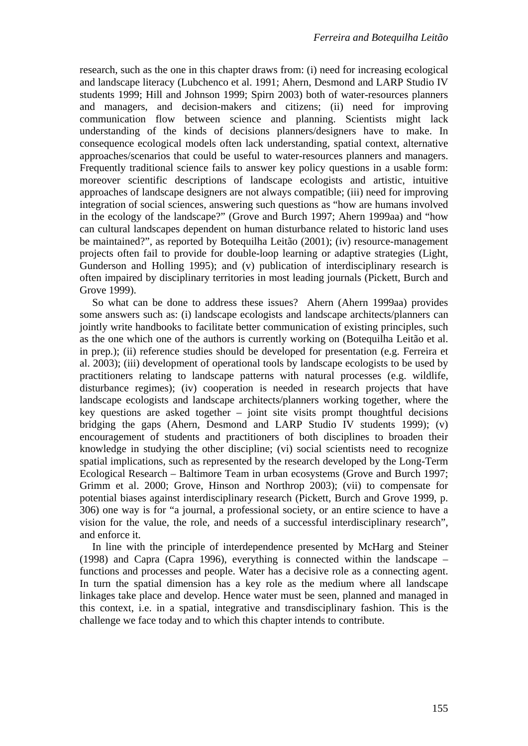research, such as the one in this chapter draws from: (i) need for increasing ecological and landscape literacy (Lubchenco et al. 1991; Ahern, Desmond and LARP Studio IV students 1999; Hill and Johnson 1999; Spirn 2003) both of water-resources planners and managers, and decision-makers and citizens; (ii) need for improving communication flow between science and planning. Scientists might lack understanding of the kinds of decisions planners/designers have to make. In consequence ecological models often lack understanding, spatial context, alternative approaches/scenarios that could be useful to water-resources planners and managers. Frequently traditional science fails to answer key policy questions in a usable form: moreover scientific descriptions of landscape ecologists and artistic, intuitive approaches of landscape designers are not always compatible; (iii) need for improving integration of social sciences, answering such questions as "how are humans involved in the ecology of the landscape?" (Grove and Burch 1997; Ahern 1999aa) and "how can cultural landscapes dependent on human disturbance related to historic land uses be maintained?", as reported by Botequilha Leitão (2001); (iv) resource-management projects often fail to provide for double-loop learning or adaptive strategies (Light, Gunderson and Holling 1995); and (v) publication of interdisciplinary research is often impaired by disciplinary territories in most leading journals (Pickett, Burch and Grove 1999).

So what can be done to address these issues? Ahern (Ahern 1999aa) provides some answers such as: (i) landscape ecologists and landscape architects/planners can jointly write handbooks to facilitate better communication of existing principles, such as the one which one of the authors is currently working on (Botequilha Leitão et al. in prep.); (ii) reference studies should be developed for presentation (e.g. Ferreira et al. 2003); (iii) development of operational tools by landscape ecologists to be used by practitioners relating to landscape patterns with natural processes (e.g. wildlife, disturbance regimes); (iv) cooperation is needed in research projects that have landscape ecologists and landscape architects/planners working together, where the key questions are asked together – joint site visits prompt thoughtful decisions bridging the gaps (Ahern, Desmond and LARP Studio IV students 1999); (v) encouragement of students and practitioners of both disciplines to broaden their knowledge in studying the other discipline; (vi) social scientists need to recognize spatial implications, such as represented by the research developed by the Long-Term Ecological Research – Baltimore Team in urban ecosystems (Grove and Burch 1997; Grimm et al. 2000; Grove, Hinson and Northrop 2003); (vii) to compensate for potential biases against interdisciplinary research (Pickett, Burch and Grove 1999, p. 306) one way is for "a journal, a professional society, or an entire science to have a vision for the value, the role, and needs of a successful interdisciplinary research", and enforce it.

In line with the principle of interdependence presented by McHarg and Steiner (1998) and Capra (Capra 1996), everything is connected within the landscape – functions and processes and people. Water has a decisive role as a connecting agent. In turn the spatial dimension has a key role as the medium where all landscape linkages take place and develop. Hence water must be seen, planned and managed in this context, i.e. in a spatial, integrative and transdisciplinary fashion. This is the challenge we face today and to which this chapter intends to contribute.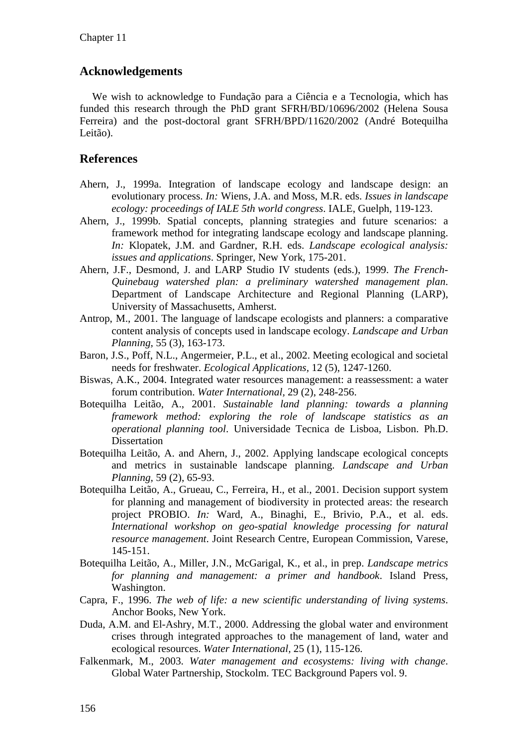## **Acknowledgements**

We wish to acknowledge to Fundação para a Ciência e a Tecnologia, which has funded this research through the PhD grant SFRH/BD/10696/2002 (Helena Sousa Ferreira) and the post-doctoral grant SFRH/BPD/11620/2002 (André Botequilha Leitão).

## **References**

- Ahern, J., 1999a. Integration of landscape ecology and landscape design: an evolutionary process. *In:* Wiens, J.A. and Moss, M.R. eds. *Issues in landscape ecology: proceedings of IALE 5th world congress*. IALE, Guelph, 119-123.
- Ahern, J., 1999b. Spatial concepts, planning strategies and future scenarios: a framework method for integrating landscape ecology and landscape planning. *In:* Klopatek, J.M. and Gardner, R.H. eds. *Landscape ecological analysis: issues and applications*. Springer, New York, 175-201.
- Ahern, J.F., Desmond, J. and LARP Studio IV students (eds.), 1999. *The French-Quinebaug watershed plan: a preliminary watershed management plan*. Department of Landscape Architecture and Regional Planning (LARP), University of Massachusetts, Amherst.
- Antrop, M., 2001. The language of landscape ecologists and planners: a comparative content analysis of concepts used in landscape ecology. *Landscape and Urban Planning,* 55 (3), 163-173.
- Baron, J.S., Poff, N.L., Angermeier, P.L., et al., 2002. Meeting ecological and societal needs for freshwater. *Ecological Applications,* 12 (5), 1247-1260.
- Biswas, A.K., 2004. Integrated water resources management: a reassessment: a water forum contribution. *Water International,* 29 (2), 248-256.
- Botequilha Leitão, A., 2001. *Sustainable land planning: towards a planning framework method: exploring the role of landscape statistics as an operational planning tool*. Universidade Tecnica de Lisboa, Lisbon. Ph.D. Dissertation
- Botequilha Leitão, A. and Ahern, J., 2002. Applying landscape ecological concepts and metrics in sustainable landscape planning. *Landscape and Urban Planning,* 59 (2), 65-93.
- Botequilha Leitão, A., Grueau, C., Ferreira, H., et al., 2001. Decision support system for planning and management of biodiversity in protected areas: the research project PROBIO. *In:* Ward, A., Binaghi, E., Brivio, P.A., et al. eds. *International workshop on geo-spatial knowledge processing for natural resource management*. Joint Research Centre, European Commission, Varese, 145-151.
- Botequilha Leitão, A., Miller, J.N., McGarigal, K., et al., in prep. *Landscape metrics for planning and management: a primer and handbook*. Island Press, Washington.
- Capra, F., 1996. *The web of life: a new scientific understanding of living systems*. Anchor Books, New York.
- Duda, A.M. and El-Ashry, M.T., 2000. Addressing the global water and environment crises through integrated approaches to the management of land, water and ecological resources. *Water International,* 25 (1), 115-126.
- Falkenmark, M., 2003. *Water management and ecosystems: living with change*. Global Water Partnership, Stockolm. TEC Background Papers vol. 9.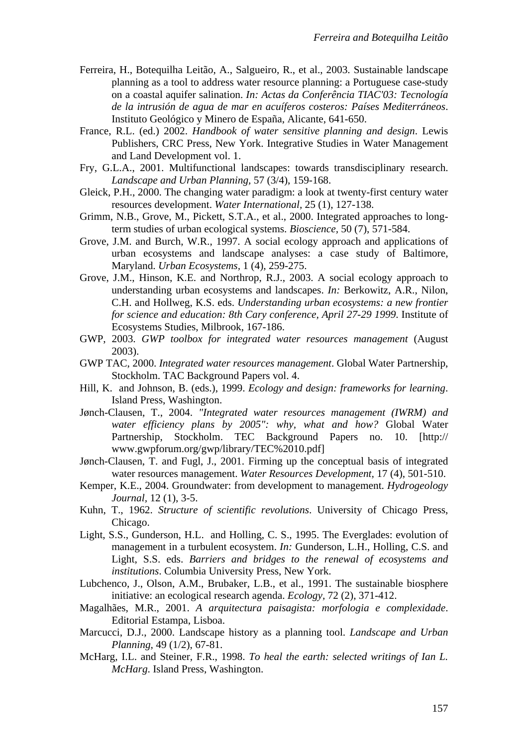- Ferreira, H., Botequilha Leitão, A., Salgueiro, R., et al., 2003. Sustainable landscape planning as a tool to address water resource planning: a Portuguese case-study on a coastal aquifer salination. *In: Actas da Conferência TIAC'03: Tecnología de la intrusión de agua de mar en acuíferos costeros: Países Mediterráneos*. Instituto Geológico y Minero de España, Alicante, 641-650.
- France, R.L. (ed.) 2002. *Handbook of water sensitive planning and design*. Lewis Publishers, CRC Press, New York. Integrative Studies in Water Management and Land Development vol. 1.
- Fry, G.L.A., 2001. Multifunctional landscapes: towards transdisciplinary research. *Landscape and Urban Planning,* 57 (3/4), 159-168.
- Gleick, P.H., 2000. The changing water paradigm: a look at twenty-first century water resources development. *Water International,* 25 (1), 127-138.
- Grimm, N.B., Grove, M., Pickett, S.T.A., et al., 2000. Integrated approaches to longterm studies of urban ecological systems. *Bioscience,* 50 (7), 571-584.
- Grove, J.M. and Burch, W.R., 1997. A social ecology approach and applications of urban ecosystems and landscape analyses: a case study of Baltimore, Maryland. *Urban Ecosystems,* 1 (4), 259-275.
- Grove, J.M., Hinson, K.E. and Northrop, R.J., 2003. A social ecology approach to understanding urban ecosystems and landscapes. *In:* Berkowitz, A.R., Nilon, C.H. and Hollweg, K.S. eds. *Understanding urban ecosystems: a new frontier for science and education: 8th Cary conference, April 27-29 1999*. Institute of Ecosystems Studies, Milbrook, 167-186.
- GWP, 2003. *GWP toolbox for integrated water resources management* (August 2003).
- GWP TAC, 2000. *Integrated water resources management*. Global Water Partnership, Stockholm. TAC Background Papers vol. 4.
- Hill, K. and Johnson, B. (eds.), 1999. *Ecology and design: frameworks for learning*. Island Press, Washington.
- Jønch-Clausen, T., 2004. *"Integrated water resources management (IWRM) and water efficiency plans by 2005": why, what and how?* Global Water Partnership, Stockholm. TEC Background Papers no. 10. [http:// www.gwpforum.org/gwp/library/TEC%2010.pdf]
- Jønch-Clausen, T. and Fugl, J., 2001. Firming up the conceptual basis of integrated water resources management. *Water Resources Development,* 17 (4), 501-510.
- Kemper, K.E., 2004. Groundwater: from development to management. *Hydrogeology Journal,* 12 (1), 3-5.
- Kuhn, T., 1962. *Structure of scientific revolutions*. University of Chicago Press, Chicago.
- Light, S.S., Gunderson, H.L. and Holling, C. S., 1995. The Everglades: evolution of management in a turbulent ecosystem. *In:* Gunderson, L.H., Holling, C.S. and Light, S.S. eds. *Barriers and bridges to the renewal of ecosystems and institutions*. Columbia University Press, New York.
- Lubchenco, J., Olson, A.M., Brubaker, L.B., et al., 1991. The sustainable biosphere initiative: an ecological research agenda. *Ecology,* 72 (2), 371-412.
- Magalhães, M.R., 2001. *A arquitectura paisagista: morfologia e complexidade*. Editorial Estampa, Lisboa.
- Marcucci, D.J., 2000. Landscape history as a planning tool. *Landscape and Urban Planning,* 49 (1/2), 67-81.
- McHarg, I.L. and Steiner, F.R., 1998. *To heal the earth: selected writings of Ian L. McHarg*. Island Press, Washington.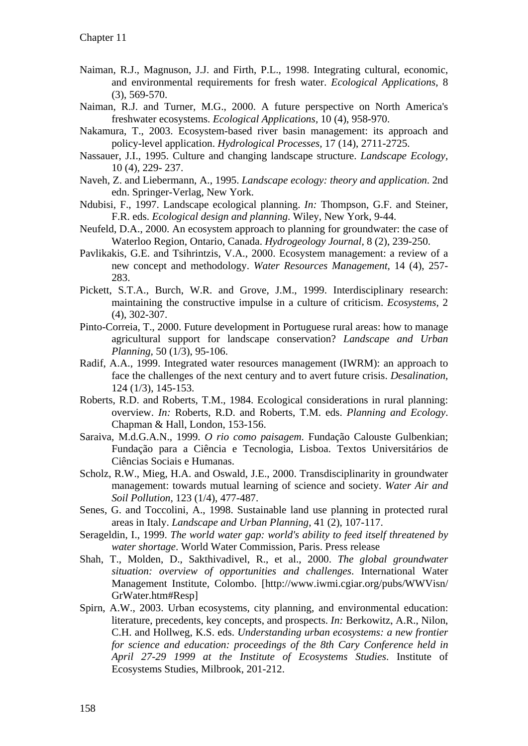- Naiman, R.J., Magnuson, J.J. and Firth, P.L., 1998. Integrating cultural, economic, and environmental requirements for fresh water. *Ecological Applications,* 8 (3), 569-570.
- Naiman, R.J. and Turner, M.G., 2000. A future perspective on North America's freshwater ecosystems. *Ecological Applications,* 10 (4), 958-970.
- Nakamura, T., 2003. Ecosystem-based river basin management: its approach and policy-level application. *Hydrological Processes,* 17 (14), 2711-2725.
- Nassauer, J.I., 1995. Culture and changing landscape structure. *Landscape Ecology,* 10 (4), 229- 237.
- Naveh, Z. and Liebermann, A., 1995. *Landscape ecology: theory and application*. 2nd edn. Springer-Verlag, New York.
- Ndubisi, F., 1997. Landscape ecological planning. *In:* Thompson, G.F. and Steiner, F.R. eds. *Ecological design and planning*. Wiley, New York, 9-44.
- Neufeld, D.A., 2000. An ecosystem approach to planning for groundwater: the case of Waterloo Region, Ontario, Canada. *Hydrogeology Journal,* 8 (2), 239-250.
- Pavlikakis, G.E. and Tsihrintzis, V.A., 2000. Ecosystem management: a review of a new concept and methodology. *Water Resources Management,* 14 (4), 257- 283.
- Pickett, S.T.A., Burch, W.R. and Grove, J.M., 1999. Interdisciplinary research: maintaining the constructive impulse in a culture of criticism. *Ecosystems,* 2 (4), 302-307.
- Pinto-Correia, T., 2000. Future development in Portuguese rural areas: how to manage agricultural support for landscape conservation? *Landscape and Urban Planning,* 50 (1/3), 95-106.
- Radif, A.A., 1999. Integrated water resources management (IWRM): an approach to face the challenges of the next century and to avert future crisis. *Desalination,* 124 (1/3), 145-153.
- Roberts, R.D. and Roberts, T.M., 1984. Ecological considerations in rural planning: overview. *In:* Roberts, R.D. and Roberts, T.M. eds. *Planning and Ecology*. Chapman & Hall, London, 153-156.
- Saraiva, M.d.G.A.N., 1999. *O rio como paisagem*. Fundação Calouste Gulbenkian; Fundação para a Ciência e Tecnologia, Lisboa. Textos Universitários de Ciências Sociais e Humanas.
- Scholz, R.W., Mieg, H.A. and Oswald, J.E., 2000. Transdisciplinarity in groundwater management: towards mutual learning of science and society. *Water Air and Soil Pollution,* 123 (1/4), 477-487.
- Senes, G. and Toccolini, A., 1998. Sustainable land use planning in protected rural areas in Italy. *Landscape and Urban Planning,* 41 (2), 107-117.
- Serageldin, I., 1999. *The world water gap: world's ability to feed itself threatened by water shortage*. World Water Commission, Paris. Press release
- Shah, T., Molden, D., Sakthivadivel, R., et al., 2000. *The global groundwater situation: overview of opportunities and challenges*. International Water Management Institute, Colombo. [http://www.iwmi.cgiar.org/pubs/WWVisn/ GrWater.htm#Resp]
- Spirn, A.W., 2003. Urban ecosystems, city planning, and environmental education: literature, precedents, key concepts, and prospects. *In:* Berkowitz, A.R., Nilon, C.H. and Hollweg, K.S. eds. *Understanding urban ecosystems: a new frontier for science and education: proceedings of the 8th Cary Conference held in April 27-29 1999 at the Institute of Ecosystems Studies*. Institute of Ecosystems Studies, Milbrook, 201-212.